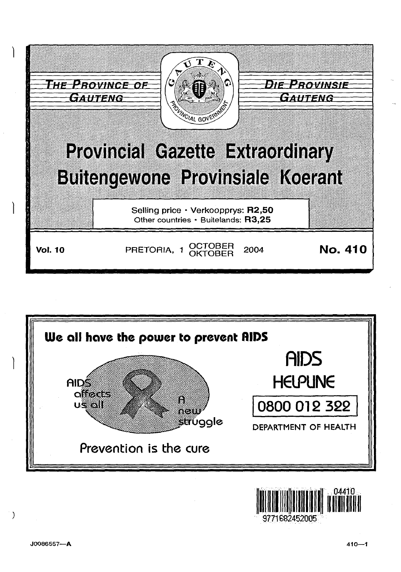





 $\left( \right)$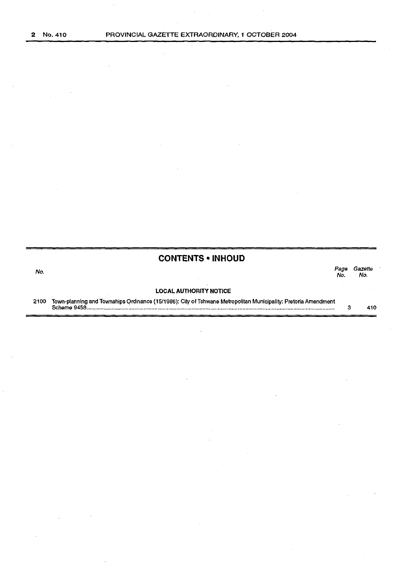## **CONTENTS • INHOUD**  المستخدم المستخدم المستخدم المستخدم المستخدم المستخدم المستخدم المستخدم المستخدم المستخدم المستخدم المستخدم ال<br>والمستخدم المستخدم المستخدم المستخدم المستخدم المستخدم المستخدم المستخدم المستخدم المستخدم المستخدم المستخدم ا

No. No.

# **LOCAL AUTHORITY NOTICE**

2100 Town-planning and Townships Ordinance ( 15/1986): City of Tshwane Metropolitan Municipality: Pretoria Amendment Scheme 9458 ........................... : ................................................................................................................................... .. 3 410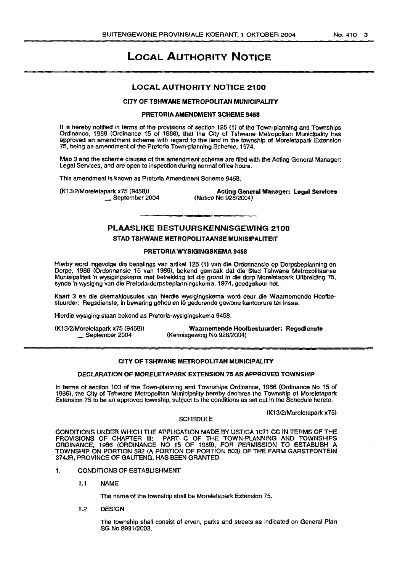## LOCAL AUTHORITY NOTICE

## LOCAL AUTHORITY NOTICE 2100

## CITY OF TSHWANE METROPOLITAN MUNICIPALITY

#### PRETORIA AMENDMENT SCHEME 9458

It is hereby notified in terms of the provisions of section 125 (1) of the Town-planning and Townships Ordinance, 1986 (Ordinance 15 of 1986), that the City of Tshwane Metropolitan Municipality has approved an amendment scheme with regard to the land in the township of Moreletapark Extension 75, being an amendment of the Pretoria Town-planning Scheme, 1974.

Map 3 and the scheme clauses of this amendment scheme are filed with the Acting General Manager: Legal Services, and are open to inspection during normal office hours.

This amendment is known as Pretoria Amendment Scheme 9458.

(K13/2/Moreletapark x75 (9458)) \_ September 2004

Acting General Manager: Legal Services (Notice No 928/2004)

## PLAASLIKE BESTUURSKENNISGEWING 2100

#### STAD TSHWANE METROPOLITAANSE MUNISIPALITEIT

#### PRETORIA WYSIGINGSKEMA 9458

Hierby word ingevolge die bepalings van artikel 125 (1) van die Ordonnansie op Dorpsbeplanning en Dorpe, 1986 (Ordonnansie 15 van 1986), bekend gemaak dat die Stad Tshwane Metropolitaanse Munisipaliteit 'n wysigingskema met betrekklng tot die grond in die dorp Moreletapark Uitbreldlng 75, synde 'n wysiging van die Pretoria-dorpsbeplanningskema, 1974, goedgekeur het.

Kaart 3 en die skemaklousules van hierdie wysigingskema word deur die Waarnemende Hoofbestuurder: Regsdienste, in bewaring gehou en le gedurende gewone kantoorure ter insae.

Hierdie wysiging staan bekend as Pretorla-wysigingskema 9458.

(K13/2/Moreletapark x75 (9458)) \_ September 2004

Waarnemende Hootbestuurder: Regsdlenste (Kennisgewing No 928/2004)

## CITY OF TSHWANE METROPOLITAN MUNICIPALITY

#### DECLARATION OF MORELETAPARK EXTENSION 75 AS APPROVED TOWNSHIP

In terms of section 103 of the Town-planning and Townships Ordinance, 1986 (Ordinance No 15 of 1986), the City of Tshwane Metropolitan Municipality hereby declares the Township of Moreletapark Extension 75 to be an approved township, subject to the conditions as set out in the Schedule hereto.

(K13/2/Moreletapark x75)

#### **SCHEDULE**

CONDITIONS UNDER WHICH THE APPLICATION MADE BY USTICA 1071 CC IN TERMS OF THE PROVISIONS OF CHAPTER Ill: PART C OF THE TOWN-PLANNING AND TOWNSHIPS ORDINANCE, 1986 (ORDINANCE NO 15 OF 1986), FOR PERMISSION TO ESTABLISH A TOWNSHIP ON PORTION 592 (A PORTION OF PORTION 503) OF THE FARM GARSTFONTEIN 374JR, PROVINCE OF GAUTENG, HAS BEEN GRANTED.

1. CONDITIONS OF ESTABLISHMENT

1.1 NAME

The name of the township shall be Moreletapark Extension 75.

1.2 DESIGN

The township shall consist of erven, parks and streets as indicated on General Plan SG No 8931/2003.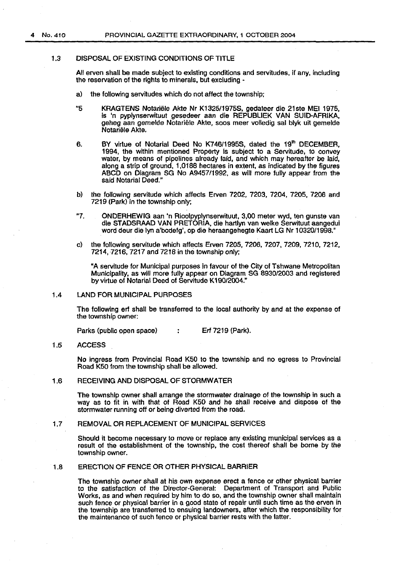## 1.3 DISPOSAL OF EXISTING CONDITIONS OF TITLE

All erven shall be made subject to existing conditions and servitudes, if any, including the reservation of the rights to minerals, but excluding -

- a) the following servitudes which do not affect the township;
- "5 KRAGTENS Notariele Akte Nr K1325/1975S, gedateer die 21ste MEl 1975, is 'n pyplynserwituut gesedeer aan die REPUBLIEK VAN SUID-AFRIKA, geheg aan gemelde Notariele Akte, soos meer volledig sal blyk uit gemelde Notariele Akte.
- 6. BY virtue of Notarial Deed No K746/1995S, dated the 19th DECEMBER, 1994, the within mentioned Property is subject to a Servitude, to convey water, by means of pipelines already laid, and which may hereafter be laid, along a strip of ground, 1,0188 hectares in extent, as indicated by the figures ABCD on Diagram SG No A9457/1992, as will more fully appear from the said Notarial Deed."
- b) the following servitude which affects Erven 7202, 7203, 7204, 7205, 7206 and 7219 (Park) in the township only;
- "7. ONDERHEWIG aan 'n Rioolpyplynserwituut, 3,00 meter wyd, ten gunste van die STADSRAAD VAN PRETORIA, die hartlyn van welke Serwituut aangedui word deur die lyn a'bcdefg', op die heraangehegte Kaart LG Nr 10320/1998."
- c) the following servitude which affects Erven 7205, 7206, 7207, 7209, 7210, 7212, 7214,7216, 7217 and 7218 in the township only;

"A servitude for Municipal purposes in favour of the City of Tshwane Metropolitan Municipality, as will more fully appear on Diagram SG 8930/2003 and registered by virtue of Notarial Deed of Servitude K 190/2004."

#### 1.4 LAND FOR MUNICIPAL PURPOSES

The following erf shall be transferred to the local authority by and at the expense of the township owner:

Parks (public open space) : Erf 7219 (Park).

#### 1.5 ACCESS

No ingress from Provincial Road K50 to the township and no egress to Provincial Road K50 from the township shall be allowed.

## 1.6 RECEIVING AND DISPOSAL OF STORMWATER

The township owner shall arrange the stormwater drainage of the township in such a way as to fit in with that of Road K50 and he shall receive and dispose of the stormwater running off or being diverted from the road.

## 1.7 REMOVAL OR REPLACEMENT OF MUNICIPAL SERVICES

Should it become necessary to move or replace any existing municipal services as a result of the establishment of the township, the cost thereof shall be borne by the township owner.

#### 1.8 ERECTION OF FENCE OR OTHER PHYSICAL BARRIER

The township owner shall at his own expense erect a fence or other physical barrier to the satisfaction of the Director-General: Department of Transport and Public Works, as and when required by him to do so, and the township owner shall maintain such fence or physical barrier in a good state of repair until such time as the erven in the township are transferred to ensuing landowners, after which the responsibility for the maintenance of such fence or physical barrier rests with the latter.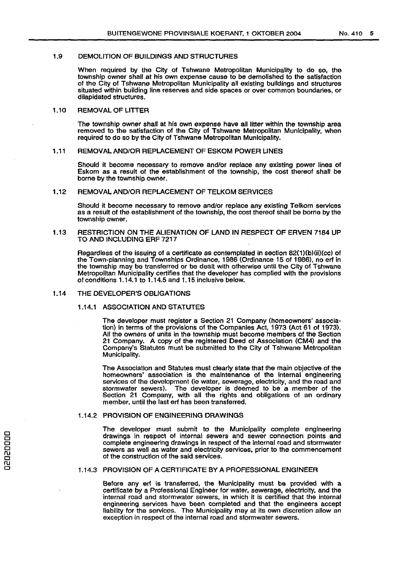#### 1.9 DEMOLITION OF BUILDINGS AND STRUCTURES

When required by the City of Tshwane Metropolitan Municipality to do so, the township owner shall at his own expense cause to be demolished to the satisfaction of the City of Tshwane Metropolitan Municipality all existing buildings and structures situated within building line reserves and side spaces or over common boundaries, or dilapidated structures.

## 1.10 REMOVAL OF LITTER

The township owner shall at his own expense have all litter within the township area removed to the satisfaction of the City of Tshwane Metropolitan Municipality, when required to do so by the City of Tshwane Metropolitan Municipality.

#### 1.11 REMOVAL AND/OR REPLACEMENT OF ESKOM POWER LINES

Should it become necessary to remove and/or replace any existing power lines of Eskom as a result of the establishment of the township, the cost thereof shall be borne by the township owner.

#### 1.12 REMOVAL AND/OR REPLACEMENT OF TELKOM SERVICES

Should it become necessary to remove and/or replace any existing Telkom services as a result of the establishment of the township, the cost thereof shall be borne by the township owner.

#### 1.13 RESTRICTION ON THE ALIENATION OF LAND IN RESPECT OF ERVEN 7184 UP TO AND INCLUDING ERF 7217

Regardless of the issuing of a certificate as contemplated in section 82(1)(b)(ii)(cc) of the Town-planning and Townships Ordinance, 1986 (Ordinance 15 of 1986), no erf in the township may be transferred or be dealt with otherwise until the City of Tshwane Metropolitan Municipality certifies that the developer has complied with the provisions of conditions 1.14.1 to 1.14.5 and 1.15 inclusive below.

#### 1.14 THE DEVELOPER'S OBLIGATIONS

#### 1.14.1 ASSOCIATION AND STATUTES

The developer must register a Section 21 Company (homeowners' association) in terms of the provisions of the Companies Act, 1973 (Act 61 of 1973). All the owners of units in the township must become members of the Section 21 Company. A copy of the registered Deed of Association (CM4) and the Company's Statutes must be submitted to the City of Tshwane Metropolitan Municipality.

The Association and Statutes must clearly state that the main objective of the homeowners' association is the maintenance of the internal engineering services of the development (ie water, sewerage, electricity, and the road and stormwater sewers). The developer is deemed to be a member of the Section 21 Company, with all the rights and obligations of an ordinary member, until the last erf has been transferred.

#### 1.14.2 PROVISION OF ENGINEERING DRAWINGS

The developer must submit to the Municipality complete engineering drawings in respect of internal sewers and sewer connection points and complete engineering drawings in respect of the internal road and stormwater sewers as well as water and electricity services, prior to the commencement of the construction of the said services.

#### 1.14.3 PROVISION OF A CERTIFICATE BY A PROFESSIONAL ENGINEER

Before any erf is transferred, the Municipality must be provided with a certificate by a Professional Engineer for water, sewerage, electricity, and the internal road and stormwater sewers, in which it is certified that the internal engineering services have been completed and that the engineers accept liability for the services. The Municipality may at its own discretion allow an exception in respect of the internal road and stormwater sewers.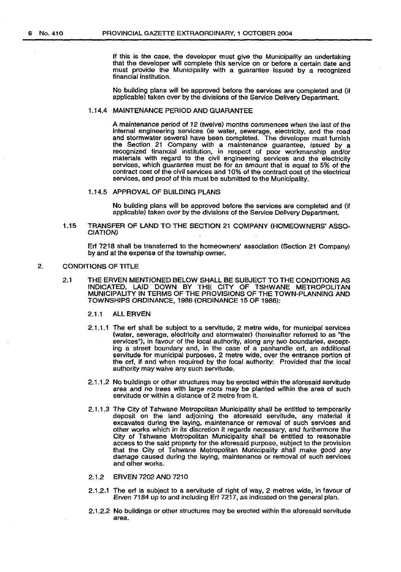If this is the case, the developer must give the Municipality an undertaking that the developer will complete this service on or before a certain date and must provide the Municipality with a guarantee issued by a recognized financial institution.

No building plans will be approved before the services are completed and (if applicable) taken over by the divisions of the Service Delivery Department.

## 1.14.4 MAINTENANCE PERIOD AND GUARANTEE

A maintenance period of 12 {twelve) months commences when the last of the internal engineering services (le water, sewerage, electricity, and the road and stormwater sewers) have been completed. The developer must furnish the Section 21 Company with a maintenance guarantee, issued by a recognized financial institution, in respect of poor workmanship and/or materials with regard to the civil engineering services and the electricity services, which guarantee must be for an amount that is equal to 5% of the contract cost of the civil services and 1 0% of the contract cost of the electrical services, and proof of this must be submitted to the Municipality.

## 1.14.5 APPROVAL OF BUILDING PLANS

No building plans will be approved before the services are completed and (if applicable) taken over by the divisions of the Service Delivery Department.

1.15 TRANSFER OF LAND TO THE SECTION 21 COMPANY {HOMEOWNERS' ASSO-CIATION)

Erf 7218 shall be transferred to the homeowners' association (Section 21 Company) by and at the expense of the township owner.

### 2. CONDITIONS OF TITLE

- 2.1 THE ERVEN MENTIONED BELOW SHALL BE SUBJECT TO THE CONDITIONS AS INDICATED, LAID. DOWN BY THE CITY OF TSHWANE METROPOLITAN MUNICIPALITY IN TERMS OF THE PROVISIONS OF THE TOWN-PLANNING AND TOWNSHIPS ORDINANCE, 1986 (ORDINANCE 15 OF 1986):
	- 2.1.1 ALL ERVEN
	- 2.1.1.1 The erf shall be subject to a servitude, 2 metre wide, for municipal services (water, sewerage, electricity and stormwater) (hereinafter referred to as "the services"), in favour of the local authority, along any two boundaries, excepting a street boundary and, in the case of a panhandle erf, an additional servitude for municipal purposes, 2 metre wide, over the entrance portion of the erf, if and when required by the local authority: Provided that the local authority may waive any such servitude.
	- 2.1.1.2 No buildings or other structures may be erected within the aforesaid servitude area and no trees with large roots may be planted within the area of such servitude or within a distance of 2 metre from it.
	- 2.1.1.3 The City of Tshwane Metropolitan Municipality shall be entitled to temporarily deposit on the land adjoining the aforesaid servitude, any material it excavates during the laying, maintenance or removal of such services and other works which in its discretion it regards necessary, and furthermore the City of Tshwane Metropolitan Municipality shall be entitled to reasonable access to the said property for the aforesaid purpose, subject to the provision that the City of Tshwane Metropolitan Municipality shall make good any damage caused during the laying, maintenance or removal of such services and other works.
	- 2.1.2 ERVEN 7202 AND 7210
	- 2.1.2.1 The erf is subject to a servitude of right of way, 2 metres wide, in favour of Erven 7184 up to and including Erf 7217, as indicated on the general plan.
	- 2.1.2.2 No buildings or other structures may be erected within the aforesaid servitude area.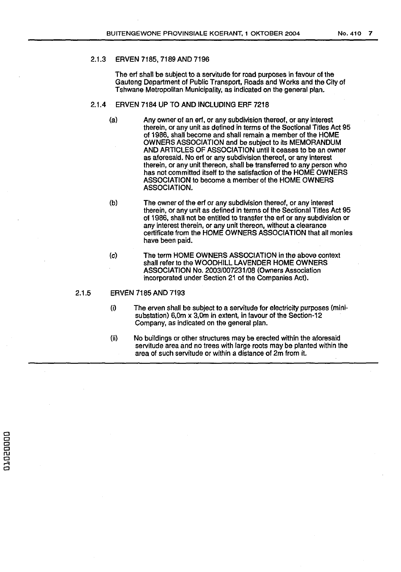## 2.1.3 ERVEN 7185, 7189 AND 7196

The erf shall be subject to a servitude for road purposes in favour of the Gauteng Department of Public Transport, Roads and Works and the City of Tshwane Metropolitan Municipality, as indicated on the general plan.

## 2.1.4 ERVEN 7184 UP TO AND INCLUDING ERF 7218

- (a) Any owner of an erf, or any subdivision thereof, or any interest therein, or any unit as defined in terms of the Sectional Titles Act 95 of 1986, shall become and shall remain a member of the HOME OWNERS ASSOCIATION and be subject to its MEMORANDUM AND ARTICLES OF ASSOCIATION until it ceases to be an owner as aforesaid. No erf or any subdivision thereof, or any interest therein, or any unit thereon, shall be transferred to any person who has not committed itself to the satisfaction of the HOME OWNERS ASSOCIATION to become a member of the HOME OWNERS ASSOCIATION.
- (b) The owner of the erf or any subdivision thereof, or any interest therein, or any unit as defined in terms of the Sectional Titles Act 95 of 1986, shall not be entitled to transfer the erf or any subdivision or any interest therein, or any unit thereon, without a clearance certificate from the HOME OWNERS ASSOCIATION that all monies have been paid.
- (c) The term HOME OWNERS ASSOCIATION in the above context shall refer to the WOODHILL LAVENDER HOME OWNERS ASSOCIATION No. 2003/007231/08 (Owners Association incorporated under Section 21 of the Companies Act).

## 2.1.5 ERVEN 7185 AND 7193

- (i) The erven shall be subject to a servitude for electricity purposes (minisubstation) 6,0m x 3,0m in extent, in favour of the Section-12 Company, as indicated on the general plan.
- (ii} No buildings or other structures may be erected within the aforesaid servitude area and no trees with large roots may be planted within the area of such servitude or within a distance of 2m from it.